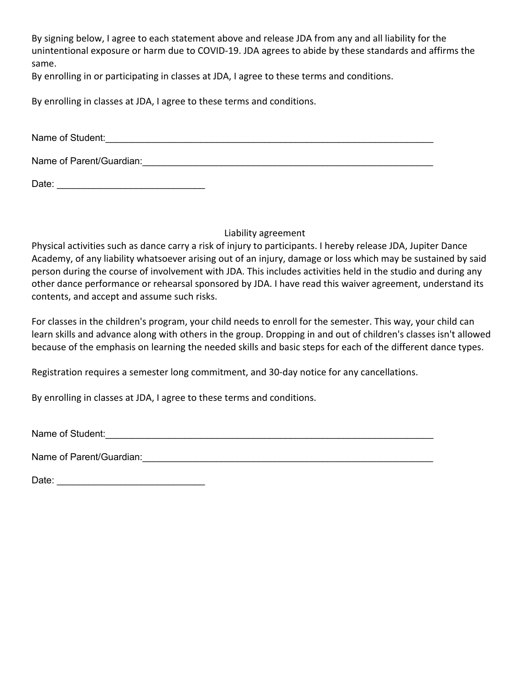By signing below, I agree to each statement above and release JDA from any and all liability for the unintentional exposure or harm due to COVID-19. JDA agrees to abide by these standards and affirms the same.

By enrolling in or participating in classes at JDA, I agree to these terms and conditions.

By enrolling in classes at JDA, I agree to these terms and conditions.

Name of Student: example of Student:

Name of Parent/Guardian:  $\Box$ 

Date: \_\_\_\_\_\_\_\_\_\_\_\_\_\_\_\_\_\_\_\_\_\_\_\_\_\_\_\_

Liability agreement

Physical activities such as dance carry a risk of injury to participants. I hereby release JDA, Jupiter Dance Academy, of any liability whatsoever arising out of an injury, damage or loss which may be sustained by said person during the course of involvement with JDA. This includes activities held in the studio and during any other dance performance or rehearsal sponsored by JDA. I have read this waiver agreement, understand its contents, and accept and assume such risks.

For classes in the children's program, your child needs to enroll for the semester. This way, your child can learn skills and advance along with others in the group. Dropping in and out of children's classes isn't allowed because of the emphasis on learning the needed skills and basic steps for each of the different dance types.

Registration requires a semester long commitment, and 30-day notice for any cancellations.

By enrolling in classes at JDA, I agree to these terms and conditions.

Name of Student:

Name of Parent/Guardian:  $\blacksquare$ 

Date: